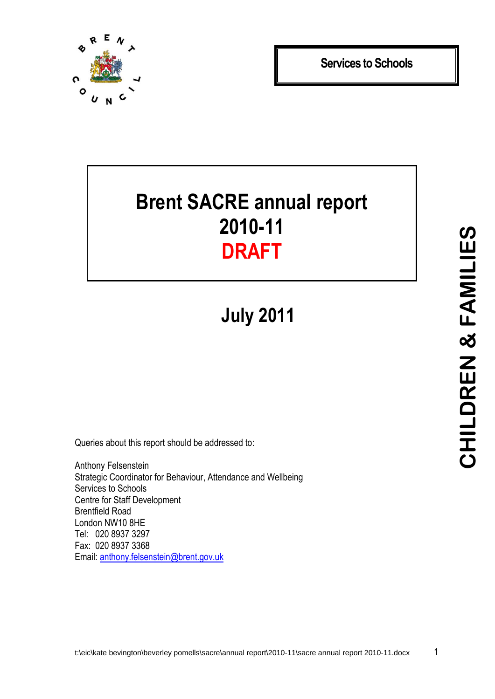

**Services to Schools**

# **Brent SACRE annual report 2010-11 DRAFT**

**July 2011**

Queries about this report should be addressed to:

Anthony Felsenstein Strategic Coordinator for Behaviour, Attendance and Wellbeing Services to Schools Centre for Staff Development Brentfield Road London NW10 8HE Tel: 020 8937 3297 Fax: 020 8937 3368 Email: [anthony.felsenstein@brent.gov.uk](mailto:anthony.felsenstein@brent.gov.uk)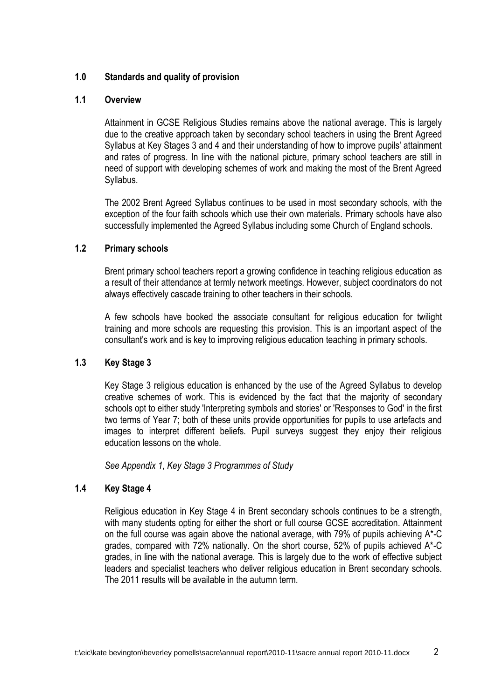#### **1.0 Standards and quality of provision**

#### **1.1 Overview**

Attainment in GCSE Religious Studies remains above the national average. This is largely due to the creative approach taken by secondary school teachers in using the Brent Agreed Syllabus at Key Stages 3 and 4 and their understanding of how to improve pupils' attainment and rates of progress. In line with the national picture, primary school teachers are still in need of support with developing schemes of work and making the most of the Brent Agreed Syllabus.

The 2002 Brent Agreed Syllabus continues to be used in most secondary schools, with the exception of the four faith schools which use their own materials. Primary schools have also successfully implemented the Agreed Syllabus including some Church of England schools.

#### **1.2 Primary schools**

Brent primary school teachers report a growing confidence in teaching religious education as a result of their attendance at termly network meetings. However, subject coordinators do not always effectively cascade training to other teachers in their schools.

A few schools have booked the associate consultant for religious education for twilight training and more schools are requesting this provision. This is an important aspect of the consultant's work and is key to improving religious education teaching in primary schools.

#### **1.3 Key Stage 3**

Key Stage 3 religious education is enhanced by the use of the Agreed Syllabus to develop creative schemes of work. This is evidenced by the fact that the majority of secondary schools opt to either study 'Interpreting symbols and stories' or 'Responses to God' in the first two terms of Year 7; both of these units provide opportunities for pupils to use artefacts and images to interpret different beliefs. Pupil surveys suggest they enjoy their religious education lessons on the whole.

*See Appendix 1, Key Stage 3 Programmes of Study*

#### **1.4 Key Stage 4**

Religious education in Key Stage 4 in Brent secondary schools continues to be a strength, with many students opting for either the short or full course GCSE accreditation. Attainment on the full course was again above the national average, with 79% of pupils achieving A\*-C grades, compared with 72% nationally. On the short course, 52% of pupils achieved A\*-C grades, in line with the national average. This is largely due to the work of effective subject leaders and specialist teachers who deliver religious education in Brent secondary schools. The 2011 results will be available in the autumn term.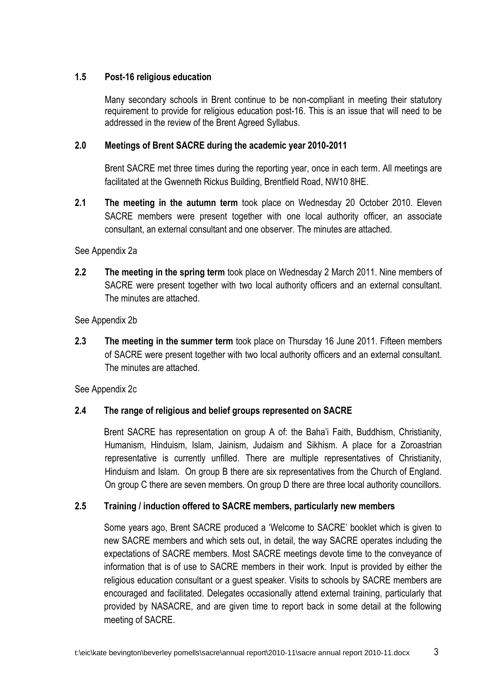#### **1.5 Post-16 religious education**

Many secondary schools in Brent continue to be non-compliant in meeting their statutory requirement to provide for religious education post-16. This is an issue that will need to be addressed in the review of the Brent Agreed Syllabus.

#### **2.0 Meetings of Brent SACRE during the academic year 2010-2011**

Brent SACRE met three times during the reporting year, once in each term. All meetings are facilitated at the Gwenneth Rickus Building, Brentfield Road, NW10 8HE.

**2.1 The meeting in the autumn term** took place on Wednesday 20 October 2010. Eleven SACRE members were present together with one local authority officer, an associate consultant, an external consultant and one observer. The minutes are attached.

#### See Appendix 2a

**2.2 The meeting in the spring term** took place on Wednesday 2 March 2011. Nine members of SACRE were present together with two local authority officers and an external consultant. The minutes are attached.

#### See Appendix 2b

**2.3 The meeting in the summer term** took place on Thursday 16 June 2011. Fifteen members of SACRE were present together with two local authority officers and an external consultant. The minutes are attached.

See Appendix 2c

### **2.4 The range of religious and belief groups represented on SACRE**

Brent SACRE has representation on group A of: the Baha'i Faith, Buddhism, Christianity, Humanism, Hinduism, Islam, Jainism, Judaism and Sikhism. A place for a Zoroastrian representative is currently unfilled. There are multiple representatives of Christianity, Hinduism and Islam. On group B there are six representatives from the Church of England. On group C there are seven members. On group D there are three local authority councillors.

#### **2.5 Training / induction offered to SACRE members, particularly new members**

Some years ago, Brent SACRE produced a 'Welcome to SACRE' booklet which is given to new SACRE members and which sets out, in detail, the way SACRE operates including the expectations of SACRE members. Most SACRE meetings devote time to the conveyance of information that is of use to SACRE members in their work. Input is provided by either the religious education consultant or a guest speaker. Visits to schools by SACRE members are encouraged and facilitated. Delegates occasionally attend external training, particularly that provided by NASACRE, and are given time to report back in some detail at the following meeting of SACRE.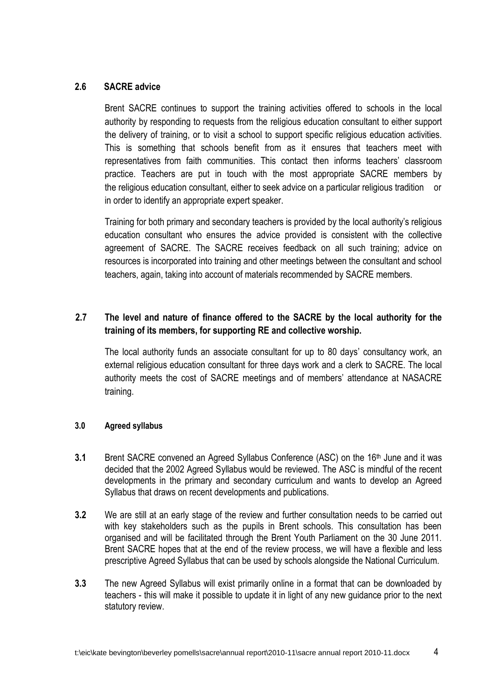#### **2.6 SACRE advice**

Brent SACRE continues to support the training activities offered to schools in the local authority by responding to requests from the religious education consultant to either support the delivery of training, or to visit a school to support specific religious education activities. This is something that schools benefit from as it ensures that teachers meet with representatives from faith communities. This contact then informs teachers' classroom practice. Teachers are put in touch with the most appropriate SACRE members by the religious education consultant, either to seek advice on a particular religious tradition or in order to identify an appropriate expert speaker.

Training for both primary and secondary teachers is provided by the local authority's religious education consultant who ensures the advice provided is consistent with the collective agreement of SACRE. The SACRE receives feedback on all such training; advice on resources is incorporated into training and other meetings between the consultant and school teachers, again, taking into account of materials recommended by SACRE members.

# **2.7 The level and nature of finance offered to the SACRE by the local authority for the training of its members, for supporting RE and collective worship.**

The local authority funds an associate consultant for up to 80 days' consultancy work, an external religious education consultant for three days work and a clerk to SACRE. The local authority meets the cost of SACRE meetings and of members' attendance at NASACRE training.

#### **3.0 Agreed syllabus**

- **3.1** Brent SACRE convened an Agreed Syllabus Conference (ASC) on the 16<sup>th</sup> June and it was decided that the 2002 Agreed Syllabus would be reviewed. The ASC is mindful of the recent developments in the primary and secondary curriculum and wants to develop an Agreed Syllabus that draws on recent developments and publications.
- **3.2** We are still at an early stage of the review and further consultation needs to be carried out with key stakeholders such as the pupils in Brent schools. This consultation has been organised and will be facilitated through the Brent Youth Parliament on the 30 June 2011. Brent SACRE hopes that at the end of the review process, we will have a flexible and less prescriptive Agreed Syllabus that can be used by schools alongside the National Curriculum.
- **3.3** The new Agreed Syllabus will exist primarily online in a format that can be downloaded by teachers - this will make it possible to update it in light of any new guidance prior to the next statutory review.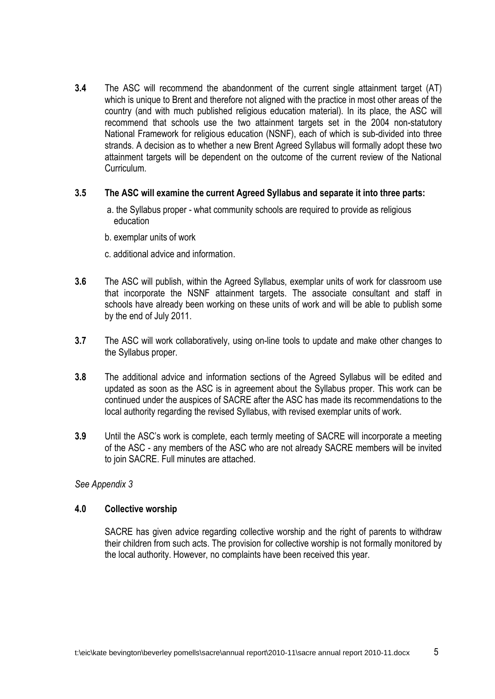**3.4** The ASC will recommend the abandonment of the current single attainment target (AT) which is unique to Brent and therefore not aligned with the practice in most other areas of the country (and with much published religious education material). In its place, the ASC will recommend that schools use the two attainment targets set in the 2004 non-statutory National Framework for religious education (NSNF), each of which is sub-divided into three strands. A decision as to whether a new Brent Agreed Syllabus will formally adopt these two attainment targets will be dependent on the outcome of the current review of the National **Curriculum** 

#### **3.5 The ASC will examine the current Agreed Syllabus and separate it into three parts:**

- a. the Syllabus proper what community schools are required to provide as religious education
- b. exemplar units of work
- c. additional advice and information.
- **3.6** The ASC will publish, within the Agreed Syllabus, exemplar units of work for classroom use that incorporate the NSNF attainment targets. The associate consultant and staff in schools have already been working on these units of work and will be able to publish some by the end of July 2011.
- **3.7** The ASC will work collaboratively, using on-line tools to update and make other changes to the Syllabus proper.
- **3.8** The additional advice and information sections of the Agreed Syllabus will be edited and updated as soon as the ASC is in agreement about the Syllabus proper. This work can be continued under the auspices of SACRE after the ASC has made its recommendations to the local authority regarding the revised Syllabus, with revised exemplar units of work.
- **3.9** Until the ASC's work is complete, each termly meeting of SACRE will incorporate a meeting of the ASC - any members of the ASC who are not already SACRE members will be invited to join SACRE. Full minutes are attached.

*See Appendix 3*

#### **4.0 Collective worship**

SACRE has given advice regarding collective worship and the right of parents to withdraw their children from such acts. The provision for collective worship is not formally monitored by the local authority. However, no complaints have been received this year.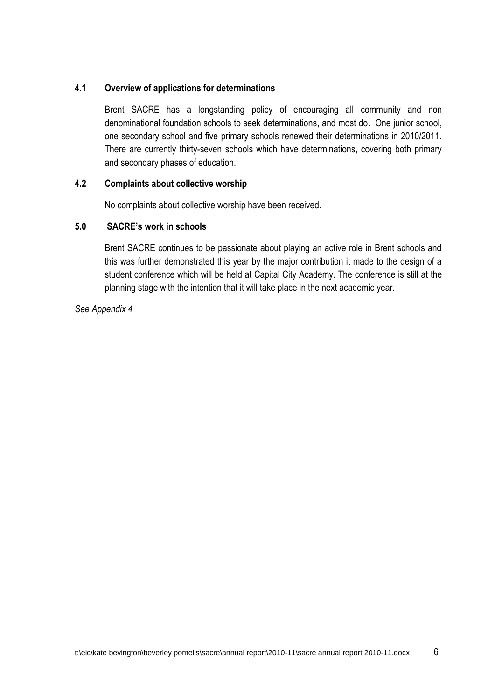#### **4.1 Overview of applications for determinations**

Brent SACRE has a longstanding policy of encouraging all community and non denominational foundation schools to seek determinations, and most do. One junior school, one secondary school and five primary schools renewed their determinations in 2010/2011. There are currently thirty-seven schools which have determinations, covering both primary and secondary phases of education.

#### **4.2 Complaints about collective worship**

No complaints about collective worship have been received.

#### **5.0 SACRE's work in schools**

Brent SACRE continues to be passionate about playing an active role in Brent schools and this was further demonstrated this year by the major contribution it made to the design of a student conference which will be held at Capital City Academy. The conference is still at the planning stage with the intention that it will take place in the next academic year.

*See Appendix 4*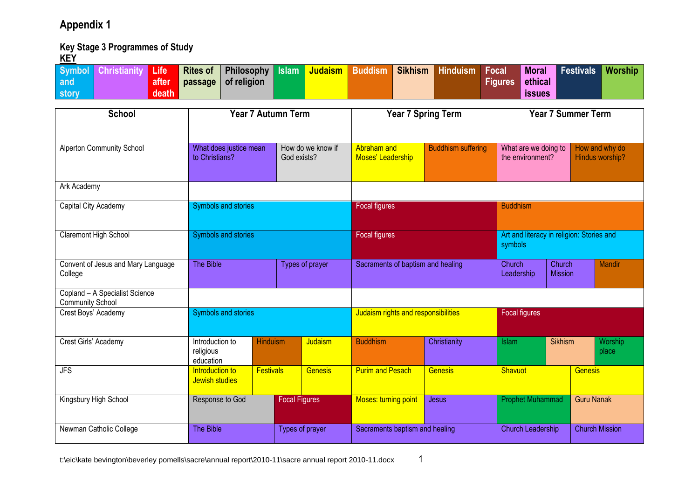# **Appendix 1**

### **Key Stage 3 Programmes of Study**

| <u>INLI</u><br><b>Symbol</b><br><b>Christianity</b><br>Life<br>after<br>and<br>death<br>story | <b>Philosophy</b><br><b>Rites of</b><br>of religion<br>passage | <b>Judaism</b><br><b>Islam</b>     | <b>Buddism</b><br><b>Sikhism</b>    | <b>Hinduism</b><br><b>Focal</b> | <b>Moral</b><br>ethical<br><b>Figures</b><br><b>issues</b> | <b>Festivals</b><br><b>Worship</b> |  |
|-----------------------------------------------------------------------------------------------|----------------------------------------------------------------|------------------------------------|-------------------------------------|---------------------------------|------------------------------------------------------------|------------------------------------|--|
| <b>School</b>                                                                                 | <b>Year 7 Autumn Term</b>                                      |                                    | <b>Year 7 Spring Term</b>           |                                 |                                                            | <b>Year 7 Summer Term</b>          |  |
| <b>Alperton Community School</b>                                                              | What does justice mean<br>to Christians?                       | How do we know if<br>God exists?   | Abraham and<br>Moses' Leadership    | <b>Buddhism suffering</b>       | What are we doing to<br>the environment?                   | How and why do<br>Hindus worship?  |  |
| Ark Academy                                                                                   |                                                                |                                    |                                     |                                 |                                                            |                                    |  |
| Capital City Academy                                                                          | Symbols and stories                                            |                                    | Focal figures                       |                                 | <b>Buddhism</b>                                            |                                    |  |
| Claremont High School                                                                         | Symbols and stories                                            |                                    | Focal figures                       |                                 | Art and literacy in religion: Stories and<br>symbols       |                                    |  |
| Convent of Jesus and Mary Language<br>College                                                 | The Bible                                                      | Types of prayer                    | Sacraments of baptism and healing   |                                 | Church<br>Church<br>Leadership<br><b>Mission</b>           | <b>Mandir</b>                      |  |
| Copland - A Specialist Science<br><b>Community School</b>                                     |                                                                |                                    |                                     |                                 |                                                            |                                    |  |
| Crest Boys' Academy                                                                           | Symbols and stories                                            |                                    | Judaism rights and responsibilities |                                 | Focal figures                                              |                                    |  |
| Crest Girls' Academy                                                                          | Introduction to<br>religious<br>education                      | Judaism<br><b>Hinduism</b>         | <b>Buddhism</b>                     | Christianity                    | <b>Sikhism</b><br><b>Islam</b>                             | Worship<br>place                   |  |
| $\overline{\mathsf{JFS}}$                                                                     | Introduction to<br>Jewish studies                              | <b>Festivals</b><br><b>Genesis</b> | <b>Purim and Pesach</b>             | <b>Genesis</b>                  | Shavuot                                                    | <b>Genesis</b>                     |  |
| Kingsbury High School                                                                         | Response to God                                                | <b>Focal Figures</b>               | <b>Moses: turning point</b>         | Jesus                           | <b>Prophet Muhammad</b>                                    | <b>Guru Nanak</b>                  |  |
| Newman Catholic College                                                                       | The Bible                                                      | Types of prayer                    | Sacraments baptism and healing      |                                 | <b>Church Leadership</b>                                   | <b>Church Mission</b>              |  |

t:\eic\kate bevington\beverley pomells\sacre\annual report\2010-11\sacre annual report 2010-11.docx 1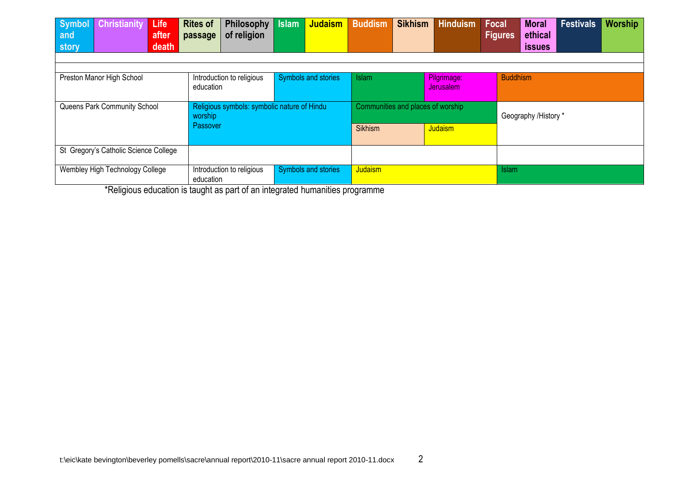| <b>Christianity</b><br><b>Symbol</b><br>Life<br>after<br>and                                                                                              | <b>Rites of</b><br><b>Philosophy</b><br>of religion<br>passage | <b>Judaism</b><br><b>Islam</b> | <b>Sikhism</b><br><b>Buddism</b>  | <b>Hinduism</b> | <b>Focal</b><br><b>Figures</b> | <b>Moral</b><br>ethical | <b>Festivals</b> | <b>Worship</b> |
|-----------------------------------------------------------------------------------------------------------------------------------------------------------|----------------------------------------------------------------|--------------------------------|-----------------------------------|-----------------|--------------------------------|-------------------------|------------------|----------------|
| death<br>story                                                                                                                                            |                                                                |                                |                                   |                 |                                | <b>issues</b>           |                  |                |
|                                                                                                                                                           |                                                                |                                |                                   |                 |                                |                         |                  |                |
| Symbols and stories<br>Pilgrimage:<br><b>Buddhism</b><br>Preston Manor High School<br><b>Islam</b><br>Introduction to religious<br>education<br>Jerusalem |                                                                |                                |                                   |                 |                                |                         |                  |                |
| Queens Park Community School                                                                                                                              | Religious symbols: symbolic nature of Hindu<br>worship         |                                | Communities and places of worship |                 | Geography /History *           |                         |                  |                |
|                                                                                                                                                           | <b>Passover</b>                                                |                                | <b>Sikhism</b>                    | <b>Judaism</b>  |                                |                         |                  |                |
| St Gregory's Catholic Science College                                                                                                                     |                                                                |                                |                                   |                 |                                |                         |                  |                |
| Wembley High Technology College                                                                                                                           | Introduction to religious<br>education                         | Symbols and stories            | Judaism<br><b>Islam</b>           |                 |                                |                         |                  |                |

\*Religious education is taught as part of an integrated humanities programme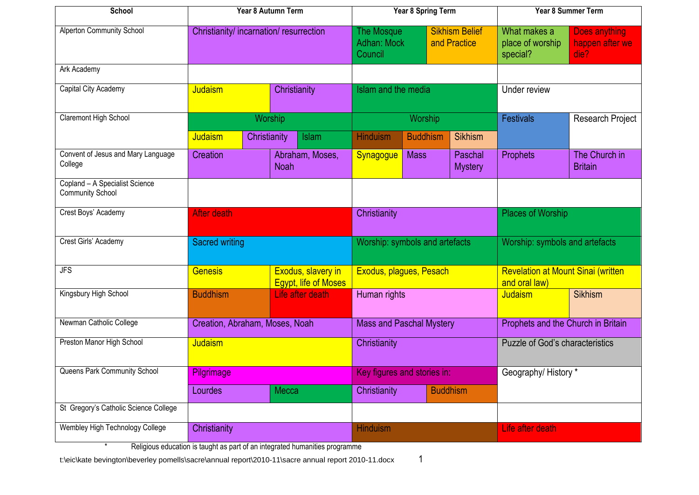| School                                                    |                                         | Year 8 Autumn Term<br><b>Year 8 Spring Term</b> |                                                                                      | <b>Year 8 Summer Term</b>                         |                                              |                                          |                                                             |                           |                                    |                                 |
|-----------------------------------------------------------|-----------------------------------------|-------------------------------------------------|--------------------------------------------------------------------------------------|---------------------------------------------------|----------------------------------------------|------------------------------------------|-------------------------------------------------------------|---------------------------|------------------------------------|---------------------------------|
| Alperton Community School                                 | Christianity/ incarnation/ resurrection |                                                 | <b>Sikhism Belief</b><br><b>The Mosque</b><br>Adhan: Mock<br>and Practice<br>Council |                                                   | What makes a<br>place of worship<br>special? | Does anything<br>happen after we<br>die? |                                                             |                           |                                    |                                 |
| Ark Academy                                               |                                         |                                                 |                                                                                      |                                                   |                                              |                                          |                                                             |                           |                                    |                                 |
| Capital City Academy                                      | <b>Judaism</b><br>Christianity          |                                                 | Islam and the media                                                                  |                                                   |                                              |                                          | Under review                                                |                           |                                    |                                 |
| Claremont High School                                     |                                         |                                                 | Worship                                                                              |                                                   |                                              | Worship                                  |                                                             |                           | <b>Festivals</b>                   | <b>Research Project</b>         |
|                                                           | Judaism                                 | Christianity                                    |                                                                                      | Islam                                             | <b>Hinduism</b>                              | <b>Buddhism</b>                          |                                                             | <b>Sikhism</b>            |                                    |                                 |
| Convent of Jesus and Mary Language<br>College             | Creation                                |                                                 | <b>Noah</b>                                                                          | Abraham, Moses,                                   | Synagogue                                    | <b>Mass</b>                              |                                                             | Paschal<br><b>Mystery</b> | Prophets                           | The Church in<br><b>Britain</b> |
| Copland - A Specialist Science<br><b>Community School</b> |                                         |                                                 |                                                                                      |                                                   |                                              |                                          |                                                             |                           |                                    |                                 |
| Crest Boys' Academy                                       | After death                             |                                                 |                                                                                      |                                                   | Christianity                                 |                                          | <b>Places of Worship</b>                                    |                           |                                    |                                 |
| Crest Girls' Academy                                      | <b>Sacred writing</b>                   |                                                 | Worship: symbols and artefacts                                                       |                                                   | Worship: symbols and artefacts               |                                          |                                                             |                           |                                    |                                 |
| $\overline{\mathsf{JFS}}$                                 | <b>Genesis</b>                          |                                                 |                                                                                      | Exodus, slavery in<br><b>Egypt, life of Moses</b> | Exodus, plagues, Pesach                      |                                          | <b>Revelation at Mount Sinai (written)</b><br>and oral law) |                           |                                    |                                 |
| Kingsbury High School                                     | <b>Buddhism</b>                         |                                                 |                                                                                      | Life after death                                  | Human rights                                 |                                          |                                                             | Judaism                   | <b>Sikhism</b>                     |                                 |
| Newman Catholic College                                   | Creation, Abraham, Moses, Noah          |                                                 |                                                                                      |                                                   | <b>Mass and Paschal Mystery</b>              |                                          |                                                             |                           | Prophets and the Church in Britain |                                 |
| Preston Manor High School                                 | Judaism                                 |                                                 | Christianity                                                                         |                                                   | <b>Puzzle of God's characteristics</b>       |                                          |                                                             |                           |                                    |                                 |
| Queens Park Community School                              | Pilgrimage                              |                                                 |                                                                                      |                                                   | Key figures and stories in:                  |                                          |                                                             | Geography/History *       |                                    |                                 |
|                                                           | Lourdes                                 |                                                 | Mecca                                                                                |                                                   | Christianity<br><b>Buddhism</b>              |                                          |                                                             |                           |                                    |                                 |
| St Gregory's Catholic Science College                     |                                         |                                                 |                                                                                      |                                                   |                                              |                                          |                                                             |                           |                                    |                                 |
| Wembley High Technology College                           | Christianity                            |                                                 |                                                                                      |                                                   | <b>Hinduism</b>                              |                                          |                                                             | Life after death          |                                    |                                 |

\* Religious education is taught as part of an integrated humanities programme

t:\eic\kate bevington\beverley pomells\sacre\annual report\2010-11\sacre annual report 2010-11.docx 1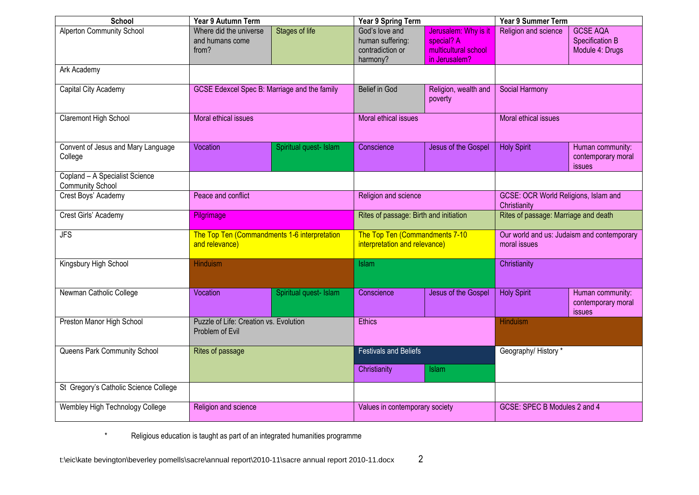| School                                                    | Year 9 Autumn Term                                             |                        | Year 9 Spring Term                                                 |                                                                             | <b>Year 9 Summer Term</b>                                  |                                                       |
|-----------------------------------------------------------|----------------------------------------------------------------|------------------------|--------------------------------------------------------------------|-----------------------------------------------------------------------------|------------------------------------------------------------|-------------------------------------------------------|
| <b>Alperton Community School</b>                          | Where did the universe<br>and humans come<br>from?             | <b>Stages of life</b>  | God's love and<br>human suffering:<br>contradiction or<br>harmony? | Jerusalem: Why is it<br>special? A<br>multicultural school<br>in Jerusalem? | Religion and science                                       | <b>GCSE AQA</b><br>Specification B<br>Module 4: Drugs |
| Ark Academy                                               |                                                                |                        |                                                                    |                                                                             |                                                            |                                                       |
| Capital City Academy                                      | <b>GCSE Edexcel Spec B: Marriage and the family</b>            |                        | <b>Belief in God</b>                                               | Religion, wealth and<br>poverty                                             | <b>Social Harmony</b>                                      |                                                       |
| Claremont High School                                     | Moral ethical issues                                           |                        | Moral ethical issues                                               |                                                                             | Moral ethical issues                                       |                                                       |
| Convent of Jesus and Mary Language<br>College             | Vocation                                                       | Spiritual quest- Islam | Conscience                                                         | Jesus of the Gospel                                                         | <b>Holy Spirit</b>                                         | Human community:<br>contemporary moral<br>issues      |
| Copland - A Specialist Science<br><b>Community School</b> |                                                                |                        |                                                                    |                                                                             |                                                            |                                                       |
| Crest Boys' Academy                                       | Peace and conflict                                             |                        | Religion and science                                               |                                                                             | GCSE: OCR World Religions, Islam and<br>Christianity       |                                                       |
| Crest Girls' Academy                                      | Pilgrimage                                                     |                        | Rites of passage: Birth and initiation                             |                                                                             | Rites of passage: Marriage and death                       |                                                       |
| $\overline{\mathsf{JFS}}$                                 | The Top Ten (Commandments 1-6 interpretation<br>and relevance) |                        | The Top Ten (Commandments 7-10<br>interpretation and relevance)    |                                                                             | Our world and us: Judaism and contemporary<br>moral issues |                                                       |
| Kingsbury High School                                     | <b>Hinduism</b>                                                |                        | <b>Islam</b>                                                       |                                                                             | Christianity                                               |                                                       |
| Newman Catholic College                                   | Vocation                                                       | Spiritual quest- Islam | Conscience                                                         | Jesus of the Gospel                                                         | <b>Holy Spirit</b>                                         | Human community:<br>contemporary moral<br>issues      |
| Preston Manor High School                                 | Puzzle of Life: Creation vs. Evolution<br>Problem of Evil      |                        | <b>Ethics</b>                                                      |                                                                             | <b>Hinduism</b>                                            |                                                       |
| Queens Park Community School                              | Rites of passage                                               |                        | <b>Festivals and Beliefs</b>                                       |                                                                             | Geography/History*                                         |                                                       |
|                                                           |                                                                |                        | Christianity                                                       | Islam                                                                       |                                                            |                                                       |
| St Gregory's Catholic Science College                     |                                                                |                        |                                                                    |                                                                             |                                                            |                                                       |
| Wembley High Technology College                           | Religion and science                                           |                        | Values in contemporary society                                     |                                                                             | GCSE: SPEC B Modules 2 and 4                               |                                                       |

\* Religious education is taught as part of an integrated humanities programme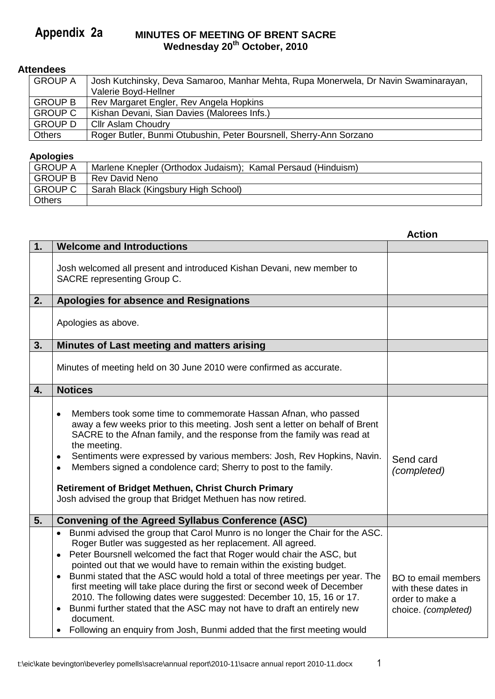#### **MINUTES OF MEETING OF BRENT SACRE Wednesday 20th October, 2010 Appendix 2a**

# **Attendees**

| <b>GROUP A</b> | Josh Kutchinsky, Deva Samaroo, Manhar Mehta, Rupa Monerwela, Dr Navin Swaminarayan, |
|----------------|-------------------------------------------------------------------------------------|
|                | Valerie Boyd-Hellner                                                                |
| <b>GROUP B</b> | Rev Margaret Engler, Rev Angela Hopkins                                             |
| <b>GROUP C</b> | Kishan Devani, Sian Davies (Malorees Infs.)                                         |
| <b>GROUP D</b> | Cllr Aslam Choudry                                                                  |
| <b>Others</b>  | Roger Butler, Bunmi Otubushin, Peter Boursnell, Sherry-Ann Sorzano                  |

#### **Apologies**

| . .            |                                                              |
|----------------|--------------------------------------------------------------|
| <b>GROUP A</b> | Marlene Knepler (Orthodox Judaism); Kamal Persaud (Hinduism) |
| <b>GROUP B</b> | Rev David Neno                                               |
| <b>GROUP C</b> | Sarah Black (Kingsbury High School)                          |
| <b>Others</b>  |                                                              |

|    |                                                                                                                                                                                                                                                                                                                                                                                                                                                                                                                                                                                                                                                                                                                                                          | <b>Action</b>                                                                               |
|----|----------------------------------------------------------------------------------------------------------------------------------------------------------------------------------------------------------------------------------------------------------------------------------------------------------------------------------------------------------------------------------------------------------------------------------------------------------------------------------------------------------------------------------------------------------------------------------------------------------------------------------------------------------------------------------------------------------------------------------------------------------|---------------------------------------------------------------------------------------------|
| 1. | <b>Welcome and Introductions</b>                                                                                                                                                                                                                                                                                                                                                                                                                                                                                                                                                                                                                                                                                                                         |                                                                                             |
|    | Josh welcomed all present and introduced Kishan Devani, new member to<br>SACRE representing Group C.                                                                                                                                                                                                                                                                                                                                                                                                                                                                                                                                                                                                                                                     |                                                                                             |
| 2. | Apologies for absence and Resignations                                                                                                                                                                                                                                                                                                                                                                                                                                                                                                                                                                                                                                                                                                                   |                                                                                             |
|    | Apologies as above.                                                                                                                                                                                                                                                                                                                                                                                                                                                                                                                                                                                                                                                                                                                                      |                                                                                             |
| 3. | Minutes of Last meeting and matters arising                                                                                                                                                                                                                                                                                                                                                                                                                                                                                                                                                                                                                                                                                                              |                                                                                             |
|    | Minutes of meeting held on 30 June 2010 were confirmed as accurate.                                                                                                                                                                                                                                                                                                                                                                                                                                                                                                                                                                                                                                                                                      |                                                                                             |
| 4. | <b>Notices</b>                                                                                                                                                                                                                                                                                                                                                                                                                                                                                                                                                                                                                                                                                                                                           |                                                                                             |
|    | Members took some time to commemorate Hassan Afnan, who passed<br>$\bullet$<br>away a few weeks prior to this meeting. Josh sent a letter on behalf of Brent<br>SACRE to the Afnan family, and the response from the family was read at<br>the meeting.<br>Sentiments were expressed by various members: Josh, Rev Hopkins, Navin.<br>$\bullet$<br>Members signed a condolence card; Sherry to post to the family.<br>$\bullet$<br><b>Retirement of Bridget Methuen, Christ Church Primary</b><br>Josh advised the group that Bridget Methuen has now retired.                                                                                                                                                                                           | Send card<br>(completed)                                                                    |
| 5. | <b>Convening of the Agreed Syllabus Conference (ASC)</b>                                                                                                                                                                                                                                                                                                                                                                                                                                                                                                                                                                                                                                                                                                 |                                                                                             |
|    | Bunmi advised the group that Carol Munro is no longer the Chair for the ASC.<br>$\bullet$<br>Roger Butler was suggested as her replacement. All agreed.<br>Peter Boursnell welcomed the fact that Roger would chair the ASC, but<br>$\bullet$<br>pointed out that we would have to remain within the existing budget.<br>Bunmi stated that the ASC would hold a total of three meetings per year. The<br>first meeting will take place during the first or second week of December<br>2010. The following dates were suggested: December 10, 15, 16 or 17.<br>Bunmi further stated that the ASC may not have to draft an entirely new<br>$\bullet$<br>document.<br>Following an enquiry from Josh, Bunmi added that the first meeting would<br>$\bullet$ | <b>BO</b> to email members<br>with these dates in<br>order to make a<br>choice. (completed) |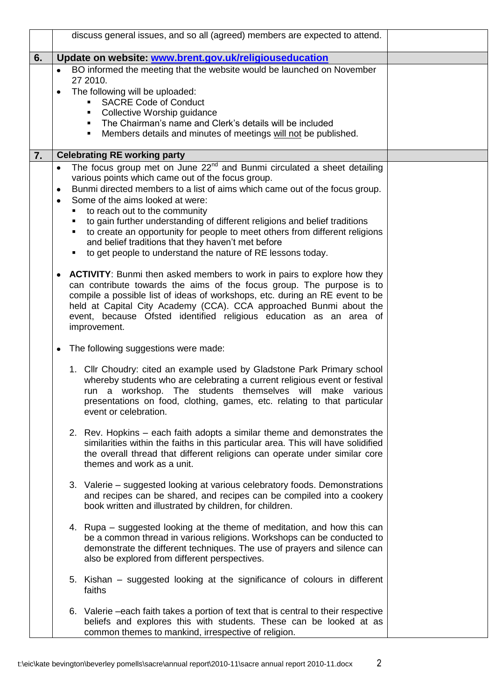|    |           | discuss general issues, and so all (agreed) members are expected to attend.                                                                          |
|----|-----------|------------------------------------------------------------------------------------------------------------------------------------------------------|
| 6. |           | Update on website: www.brent.gov.uk/religiouseducation                                                                                               |
|    |           | BO informed the meeting that the website would be launched on November<br>27 2010.                                                                   |
|    | $\bullet$ | The following will be uploaded:                                                                                                                      |
|    |           | <b>SACRE Code of Conduct</b><br>٠                                                                                                                    |
|    |           | Collective Worship guidance<br>٠                                                                                                                     |
|    |           | The Chairman's name and Clerk's details will be included<br>$\blacksquare$                                                                           |
|    |           | Members details and minutes of meetings will not be published.<br>٠                                                                                  |
| 7. |           | <b>Celebrating RE working party</b>                                                                                                                  |
|    | $\bullet$ | The focus group met on June 22 <sup>nd</sup> and Bunmi circulated a sheet detailing                                                                  |
|    |           | various points which came out of the focus group.                                                                                                    |
|    | ٠         | Bunmi directed members to a list of aims which came out of the focus group.                                                                          |
|    | ٠         | Some of the aims looked at were:                                                                                                                     |
|    | п         | to reach out to the community                                                                                                                        |
|    |           | to gain further understanding of different religions and belief traditions                                                                           |
|    |           | to create an opportunity for people to meet others from different religions<br>and belief traditions that they haven't met before                    |
|    | ٠         | to get people to understand the nature of RE lessons today.                                                                                          |
|    |           |                                                                                                                                                      |
|    | ٠         | <b>ACTIVITY:</b> Bunmi then asked members to work in pairs to explore how they                                                                       |
|    |           | can contribute towards the aims of the focus group. The purpose is to                                                                                |
|    |           | compile a possible list of ideas of workshops, etc. during an RE event to be                                                                         |
|    |           | held at Capital City Academy (CCA). CCA approached Bunmi about the                                                                                   |
|    |           | event, because Ofsted identified religious education as an area of                                                                                   |
|    |           | improvement.                                                                                                                                         |
|    | ٠         | The following suggestions were made:                                                                                                                 |
|    |           | 1. Cllr Choudry: cited an example used by Gladstone Park Primary school                                                                              |
|    |           | whereby students who are celebrating a current religious event or festival                                                                           |
|    |           | run a workshop. The students themselves will make various                                                                                            |
|    |           | presentations on food, clothing, games, etc. relating to that particular                                                                             |
|    |           | event or celebration.                                                                                                                                |
|    |           | 2. Rev. Hopkins – each faith adopts a similar theme and demonstrates the                                                                             |
|    |           | similarities within the faiths in this particular area. This will have solidified                                                                    |
|    |           | the overall thread that different religions can operate under similar core                                                                           |
|    |           | themes and work as a unit.                                                                                                                           |
|    |           |                                                                                                                                                      |
|    |           | 3. Valerie – suggested looking at various celebratory foods. Demonstrations<br>and recipes can be shared, and recipes can be compiled into a cookery |
|    |           | book written and illustrated by children, for children.                                                                                              |
|    |           |                                                                                                                                                      |
|    |           | 4. Rupa - suggested looking at the theme of meditation, and how this can                                                                             |
|    |           | be a common thread in various religions. Workshops can be conducted to                                                                               |
|    |           | demonstrate the different techniques. The use of prayers and silence can                                                                             |
|    |           | also be explored from different perspectives.                                                                                                        |
|    |           |                                                                                                                                                      |
|    |           | 5. Kishan - suggested looking at the significance of colours in different<br>faiths                                                                  |
|    |           |                                                                                                                                                      |
|    |           | 6. Valerie – each faith takes a portion of text that is central to their respective                                                                  |
|    |           | beliefs and explores this with students. These can be looked at as                                                                                   |
|    |           | common themes to mankind, irrespective of religion.                                                                                                  |
|    |           |                                                                                                                                                      |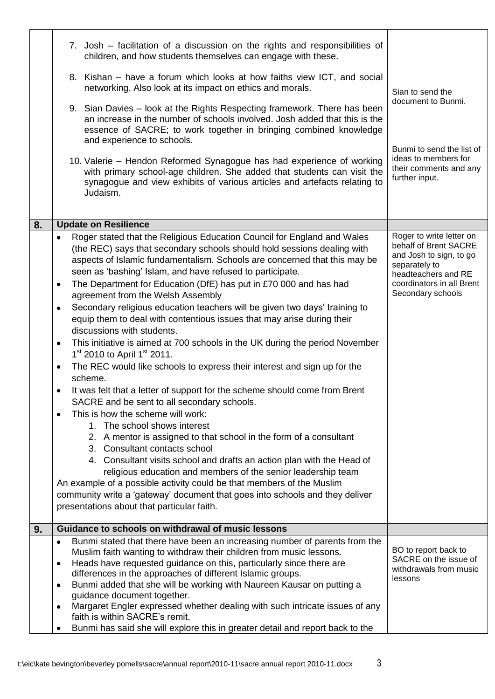|    | 7. Josh – facilitation of a discussion on the rights and responsibilities of<br>children, and how students themselves can engage with these.                                                                                                                                                                                                                                                                                                                                                                                                                                                                                                                                                                                                                                                                                                                                                                                                                                                                                                                                                                                                                                                                                                                                                                                                                                                                                                                                                                                                 |                                                                                                                                                                        |
|----|----------------------------------------------------------------------------------------------------------------------------------------------------------------------------------------------------------------------------------------------------------------------------------------------------------------------------------------------------------------------------------------------------------------------------------------------------------------------------------------------------------------------------------------------------------------------------------------------------------------------------------------------------------------------------------------------------------------------------------------------------------------------------------------------------------------------------------------------------------------------------------------------------------------------------------------------------------------------------------------------------------------------------------------------------------------------------------------------------------------------------------------------------------------------------------------------------------------------------------------------------------------------------------------------------------------------------------------------------------------------------------------------------------------------------------------------------------------------------------------------------------------------------------------------|------------------------------------------------------------------------------------------------------------------------------------------------------------------------|
|    | 8. Kishan – have a forum which looks at how faiths view ICT, and social<br>networking. Also look at its impact on ethics and morals.                                                                                                                                                                                                                                                                                                                                                                                                                                                                                                                                                                                                                                                                                                                                                                                                                                                                                                                                                                                                                                                                                                                                                                                                                                                                                                                                                                                                         | Sian to send the                                                                                                                                                       |
|    | 9. Sian Davies – look at the Rights Respecting framework. There has been<br>an increase in the number of schools involved. Josh added that this is the<br>essence of SACRE; to work together in bringing combined knowledge<br>and experience to schools.                                                                                                                                                                                                                                                                                                                                                                                                                                                                                                                                                                                                                                                                                                                                                                                                                                                                                                                                                                                                                                                                                                                                                                                                                                                                                    | document to Bunmi.                                                                                                                                                     |
|    | 10. Valerie – Hendon Reformed Synagogue has had experience of working<br>with primary school-age children. She added that students can visit the<br>synagogue and view exhibits of various articles and artefacts relating to<br>Judaism.                                                                                                                                                                                                                                                                                                                                                                                                                                                                                                                                                                                                                                                                                                                                                                                                                                                                                                                                                                                                                                                                                                                                                                                                                                                                                                    | Bunmi to send the list of<br>ideas to members for<br>their comments and any<br>further input.                                                                          |
| 8. | <b>Update on Resilience</b>                                                                                                                                                                                                                                                                                                                                                                                                                                                                                                                                                                                                                                                                                                                                                                                                                                                                                                                                                                                                                                                                                                                                                                                                                                                                                                                                                                                                                                                                                                                  |                                                                                                                                                                        |
|    | Roger stated that the Religious Education Council for England and Wales<br>$\bullet$<br>(the REC) says that secondary schools should hold sessions dealing with<br>aspects of Islamic fundamentalism. Schools are concerned that this may be<br>seen as 'bashing' Islam, and have refused to participate.<br>The Department for Education (DfE) has put in £70 000 and has had<br>$\bullet$<br>agreement from the Welsh Assembly<br>Secondary religious education teachers will be given two days' training to<br>$\bullet$<br>equip them to deal with contentious issues that may arise during their<br>discussions with students.<br>This initiative is aimed at 700 schools in the UK during the period November<br>$\bullet$<br>$1st$ 2010 to April 1 <sup>st</sup> 2011.<br>The REC would like schools to express their interest and sign up for the<br>$\bullet$<br>scheme.<br>It was felt that a letter of support for the scheme should come from Brent<br>SACRE and be sent to all secondary schools.<br>This is how the scheme will work:<br>1. The school shows interest<br>2. A mentor is assigned to that school in the form of a consultant<br>3. Consultant contacts school<br>4. Consultant visits school and drafts an action plan with the Head of<br>religious education and members of the senior leadership team<br>An example of a possible activity could be that members of the Muslim<br>community write a 'gateway' document that goes into schools and they deliver<br>presentations about that particular faith. | Roger to write letter on<br>behalf of Brent SACRE<br>and Josh to sign, to go<br>separately to<br>headteachers and RE<br>coordinators in all Brent<br>Secondary schools |
|    |                                                                                                                                                                                                                                                                                                                                                                                                                                                                                                                                                                                                                                                                                                                                                                                                                                                                                                                                                                                                                                                                                                                                                                                                                                                                                                                                                                                                                                                                                                                                              |                                                                                                                                                                        |
| 9. | Guidance to schools on withdrawal of music lessons                                                                                                                                                                                                                                                                                                                                                                                                                                                                                                                                                                                                                                                                                                                                                                                                                                                                                                                                                                                                                                                                                                                                                                                                                                                                                                                                                                                                                                                                                           |                                                                                                                                                                        |
|    | Bunmi stated that there have been an increasing number of parents from the<br>Muslim faith wanting to withdraw their children from music lessons.<br>Heads have requested guidance on this, particularly since there are<br>٠<br>differences in the approaches of different Islamic groups.<br>Bunmi added that she will be working with Naureen Kausar on putting a<br>٠<br>guidance document together.                                                                                                                                                                                                                                                                                                                                                                                                                                                                                                                                                                                                                                                                                                                                                                                                                                                                                                                                                                                                                                                                                                                                     | BO to report back to<br>SACRE on the issue of<br>withdrawals from music<br>lessons                                                                                     |
|    | Margaret Engler expressed whether dealing with such intricate issues of any<br>$\bullet$<br>faith is within SACRE's remit.<br>Bunmi has said she will explore this in greater detail and report back to the                                                                                                                                                                                                                                                                                                                                                                                                                                                                                                                                                                                                                                                                                                                                                                                                                                                                                                                                                                                                                                                                                                                                                                                                                                                                                                                                  |                                                                                                                                                                        |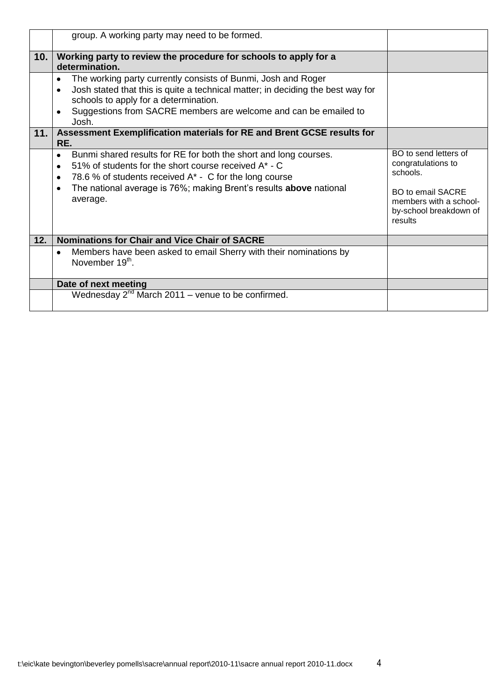|     | group. A working party may need to be formed.                                                                                                                                                                                                                                     |                                                                                                                                                    |
|-----|-----------------------------------------------------------------------------------------------------------------------------------------------------------------------------------------------------------------------------------------------------------------------------------|----------------------------------------------------------------------------------------------------------------------------------------------------|
| 10. | Working party to review the procedure for schools to apply for a<br>determination.                                                                                                                                                                                                |                                                                                                                                                    |
|     | The working party currently consists of Bunmi, Josh and Roger<br>Josh stated that this is quite a technical matter; in deciding the best way for<br>schools to apply for a determination.<br>Suggestions from SACRE members are welcome and can be emailed to<br>Josh.            |                                                                                                                                                    |
| 11. | Assessment Exemplification materials for RE and Brent GCSE results for<br>RE.                                                                                                                                                                                                     |                                                                                                                                                    |
|     | Bunmi shared results for RE for both the short and long courses.<br>٠<br>51% of students for the short course received A* - C<br>78.6 % of students received $A^*$ - C for the long course<br>٠<br>The national average is 76%; making Brent's results above national<br>average. | BO to send letters of<br>congratulations to<br>schools.<br><b>BO to email SACRE</b><br>members with a school-<br>by-school breakdown of<br>results |
| 12. | <b>Nominations for Chair and Vice Chair of SACRE</b>                                                                                                                                                                                                                              |                                                                                                                                                    |
|     | Members have been asked to email Sherry with their nominations by<br>November 19 <sup>th</sup> .                                                                                                                                                                                  |                                                                                                                                                    |
|     | Date of next meeting                                                                                                                                                                                                                                                              |                                                                                                                                                    |
|     | Wednesday $2^{nd}$ March 2011 – venue to be confirmed.                                                                                                                                                                                                                            |                                                                                                                                                    |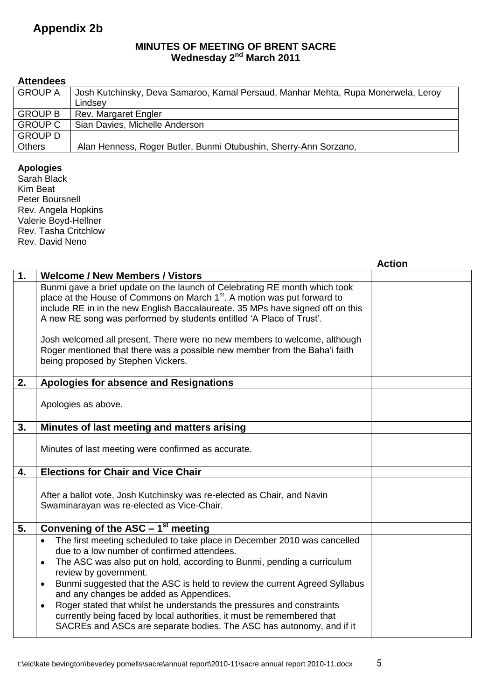# **Appendix 2b**

### **MINUTES OF MEETING OF BRENT SACRE Wednesday 2<sup>nd</sup> March 2011**

# **Attendees**

| <b>GROUP A</b> | Josh Kutchinsky, Deva Samaroo, Kamal Persaud, Manhar Mehta, Rupa Monerwela, Leroy |
|----------------|-----------------------------------------------------------------------------------|
|                | Lindsey                                                                           |
| <b>GROUP B</b> | Rev. Margaret Engler                                                              |
| <b>GROUP C</b> | Sian Davies, Michelle Anderson                                                    |
| <b>GROUP D</b> |                                                                                   |
| <b>Others</b>  | Alan Henness, Roger Butler, Bunmi Otubushin, Sherry-Ann Sorzano,                  |

#### **Apologies**

Sarah Black Kim Beat Peter Boursnell Rev. Angela Hopkins Valerie Boyd-Hellner Rev. Tasha Critchlow Rev. David Neno

|    |                                                                                                                                                                                                                                                                                                                                                                                                                                                                                                                                                                                                               | <b>Action</b> |
|----|---------------------------------------------------------------------------------------------------------------------------------------------------------------------------------------------------------------------------------------------------------------------------------------------------------------------------------------------------------------------------------------------------------------------------------------------------------------------------------------------------------------------------------------------------------------------------------------------------------------|---------------|
| 1. | <b>Welcome / New Members / Vistors</b>                                                                                                                                                                                                                                                                                                                                                                                                                                                                                                                                                                        |               |
|    | Bunmi gave a brief update on the launch of Celebrating RE month which took<br>place at the House of Commons on March 1 <sup>st</sup> . A motion was put forward to<br>include RE in in the new English Baccalaureate. 35 MPs have signed off on this<br>A new RE song was performed by students entitled 'A Place of Trust'.<br>Josh welcomed all present. There were no new members to welcome, although<br>Roger mentioned that there was a possible new member from the Baha'i faith<br>being proposed by Stephen Vickers.                                                                                 |               |
| 2. | Apologies for absence and Resignations                                                                                                                                                                                                                                                                                                                                                                                                                                                                                                                                                                        |               |
|    | Apologies as above.                                                                                                                                                                                                                                                                                                                                                                                                                                                                                                                                                                                           |               |
| 3. | Minutes of last meeting and matters arising                                                                                                                                                                                                                                                                                                                                                                                                                                                                                                                                                                   |               |
|    | Minutes of last meeting were confirmed as accurate.                                                                                                                                                                                                                                                                                                                                                                                                                                                                                                                                                           |               |
| 4. | <b>Elections for Chair and Vice Chair</b>                                                                                                                                                                                                                                                                                                                                                                                                                                                                                                                                                                     |               |
|    | After a ballot vote, Josh Kutchinsky was re-elected as Chair, and Navin<br>Swaminarayan was re-elected as Vice-Chair.                                                                                                                                                                                                                                                                                                                                                                                                                                                                                         |               |
| 5. | Convening of the $AS\overline{C} - 1^{st}$ meeting                                                                                                                                                                                                                                                                                                                                                                                                                                                                                                                                                            |               |
|    | The first meeting scheduled to take place in December 2010 was cancelled<br>٠<br>due to a low number of confirmed attendees.<br>The ASC was also put on hold, according to Bunmi, pending a curriculum<br>$\bullet$<br>review by government.<br>Bunmi suggested that the ASC is held to review the current Agreed Syllabus<br>and any changes be added as Appendices.<br>Roger stated that whilst he understands the pressures and constraints<br>$\bullet$<br>currently being faced by local authorities, it must be remembered that<br>SACREs and ASCs are separate bodies. The ASC has autonomy, and if it |               |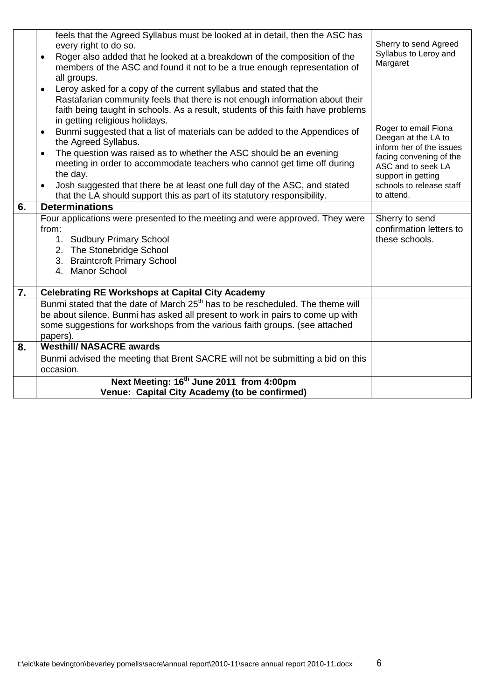|    | feels that the Agreed Syllabus must be looked at in detail, then the ASC has<br>every right to do so.<br>Roger also added that he looked at a breakdown of the composition of the<br>$\bullet$<br>members of the ASC and found it not to be a true enough representation of<br>all groups.                                                                           | Sherry to send Agreed<br>Syllabus to Leroy and<br>Margaret                                                                                                       |
|----|----------------------------------------------------------------------------------------------------------------------------------------------------------------------------------------------------------------------------------------------------------------------------------------------------------------------------------------------------------------------|------------------------------------------------------------------------------------------------------------------------------------------------------------------|
|    | Leroy asked for a copy of the current syllabus and stated that the<br>$\bullet$<br>Rastafarian community feels that there is not enough information about their<br>faith being taught in schools. As a result, students of this faith have problems<br>in getting religious holidays.<br>Bunmi suggested that a list of materials can be added to the Appendices of  | Roger to email Fiona                                                                                                                                             |
|    | $\bullet$<br>the Agreed Syllabus.<br>The question was raised as to whether the ASC should be an evening<br>$\bullet$<br>meeting in order to accommodate teachers who cannot get time off during<br>the day.<br>Josh suggested that there be at least one full day of the ASC, and stated<br>that the LA should support this as part of its statutory responsibility. | Deegan at the LA to<br>inform her of the issues<br>facing convening of the<br>ASC and to seek LA<br>support in getting<br>schools to release staff<br>to attend. |
| 6. | <b>Determinations</b>                                                                                                                                                                                                                                                                                                                                                |                                                                                                                                                                  |
|    | Four applications were presented to the meeting and were approved. They were<br>from:<br>1. Sudbury Primary School<br>2. The Stonebridge School<br>3. Braintcroft Primary School<br>4. Manor School                                                                                                                                                                  | Sherry to send<br>confirmation letters to<br>these schools.                                                                                                      |
| 7. | <b>Celebrating RE Workshops at Capital City Academy</b>                                                                                                                                                                                                                                                                                                              |                                                                                                                                                                  |
|    | Bunmi stated that the date of March 25 <sup>th</sup> has to be rescheduled. The theme will<br>be about silence. Bunmi has asked all present to work in pairs to come up with<br>some suggestions for workshops from the various faith groups. (see attached<br>papers).                                                                                              |                                                                                                                                                                  |
| 8. | <b>Westhill/ NASACRE awards</b>                                                                                                                                                                                                                                                                                                                                      |                                                                                                                                                                  |
|    | Bunmi advised the meeting that Brent SACRE will not be submitting a bid on this<br>occasion.                                                                                                                                                                                                                                                                         |                                                                                                                                                                  |
|    | Next Meeting: 16 <sup>th</sup> June 2011 from 4:00pm                                                                                                                                                                                                                                                                                                                 |                                                                                                                                                                  |
|    | Venue: Capital City Academy (to be confirmed)                                                                                                                                                                                                                                                                                                                        |                                                                                                                                                                  |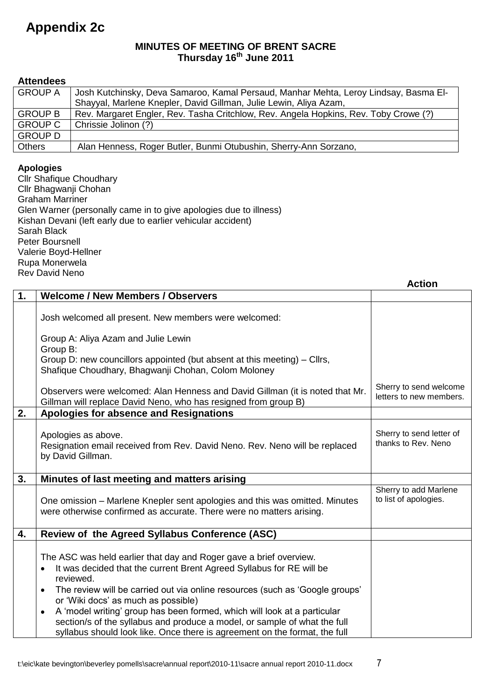# **Appendix 2c**

#### **MINUTES OF MEETING OF BRENT SACRE Thursday 16th June 2011**

|               | <b>Attendees</b>                                                                                                                                                            |                                                                                                                                                                                                 |                                                   |  |  |
|---------------|-----------------------------------------------------------------------------------------------------------------------------------------------------------------------------|-------------------------------------------------------------------------------------------------------------------------------------------------------------------------------------------------|---------------------------------------------------|--|--|
|               | <b>GROUP A</b><br>Josh Kutchinsky, Deva Samaroo, Kamal Persaud, Manhar Mehta, Leroy Lindsay, Basma El-                                                                      |                                                                                                                                                                                                 |                                                   |  |  |
|               | Shayyal, Marlene Knepler, David Gillman, Julie Lewin, Aliya Azam,<br><b>GROUP B</b><br>Rev. Margaret Engler, Rev. Tasha Critchlow, Rev. Angela Hopkins, Rev. Toby Crowe (?) |                                                                                                                                                                                                 |                                                   |  |  |
|               |                                                                                                                                                                             |                                                                                                                                                                                                 |                                                   |  |  |
|               | <b>GROUP C</b><br>Chrissie Jolinon (?)                                                                                                                                      |                                                                                                                                                                                                 |                                                   |  |  |
| <b>Others</b> | <b>GROUP D</b>                                                                                                                                                              | Alan Henness, Roger Butler, Bunmi Otubushin, Sherry-Ann Sorzano,                                                                                                                                |                                                   |  |  |
|               |                                                                                                                                                                             |                                                                                                                                                                                                 |                                                   |  |  |
|               | <b>Apologies</b><br><b>Graham Marriner</b><br>Sarah Black<br><b>Peter Boursnell</b><br>Valerie Boyd-Hellner<br>Rupa Monerwela<br><b>Rev David Neno</b>                      | <b>Cllr Shafique Choudhary</b><br>Cllr Bhagwanji Chohan<br>Glen Warner (personally came in to give apologies due to illness)<br>Kishan Devani (left early due to earlier vehicular accident)    |                                                   |  |  |
|               |                                                                                                                                                                             |                                                                                                                                                                                                 | <b>Action</b>                                     |  |  |
| 1.            |                                                                                                                                                                             | <b>Welcome / New Members / Observers</b>                                                                                                                                                        |                                                   |  |  |
|               |                                                                                                                                                                             | Josh welcomed all present. New members were welcomed:                                                                                                                                           |                                                   |  |  |
|               | Group B:                                                                                                                                                                    | Group A: Aliya Azam and Julie Lewin<br>Group D: new councillors appointed (but absent at this meeting) – Cllrs,                                                                                 |                                                   |  |  |
|               |                                                                                                                                                                             | Shafique Choudhary, Bhagwanji Chohan, Colom Moloney                                                                                                                                             |                                                   |  |  |
|               |                                                                                                                                                                             | Observers were welcomed: Alan Henness and David Gillman (it is noted that Mr.<br>Gillman will replace David Neno, who has resigned from group B)                                                | Sherry to send welcome<br>letters to new members. |  |  |
| 2.            |                                                                                                                                                                             | Apologies for absence and Resignations                                                                                                                                                          |                                                   |  |  |
|               |                                                                                                                                                                             | Apologies as above.<br>Resignation email received from Rev. David Neno. Rev. Neno will be replaced<br>by David Gillman.                                                                         | Sherry to send letter of<br>thanks to Rev. Neno   |  |  |
| 3.            |                                                                                                                                                                             | Minutes of last meeting and matters arising                                                                                                                                                     |                                                   |  |  |
|               |                                                                                                                                                                             | One omission – Marlene Knepler sent apologies and this was omitted. Minutes<br>were otherwise confirmed as accurate. There were no matters arising.                                             | Sherry to add Marlene<br>to list of apologies.    |  |  |
| 4.            |                                                                                                                                                                             | Review of the Agreed Syllabus Conference (ASC)                                                                                                                                                  |                                                   |  |  |
|               | ٠                                                                                                                                                                           | The ASC was held earlier that day and Roger gave a brief overview.<br>It was decided that the current Brent Agreed Syllabus for RE will be<br>reviewed.                                         |                                                   |  |  |
|               | $\bullet$<br>$\bullet$                                                                                                                                                      | The review will be carried out via online resources (such as 'Google groups'<br>or 'Wiki docs' as much as possible)<br>A 'model writing' group has been formed, which will look at a particular |                                                   |  |  |
|               |                                                                                                                                                                             | section/s of the syllabus and produce a model, or sample of what the full<br>syllabus should look like. Once there is agreement on the format, the full                                         |                                                   |  |  |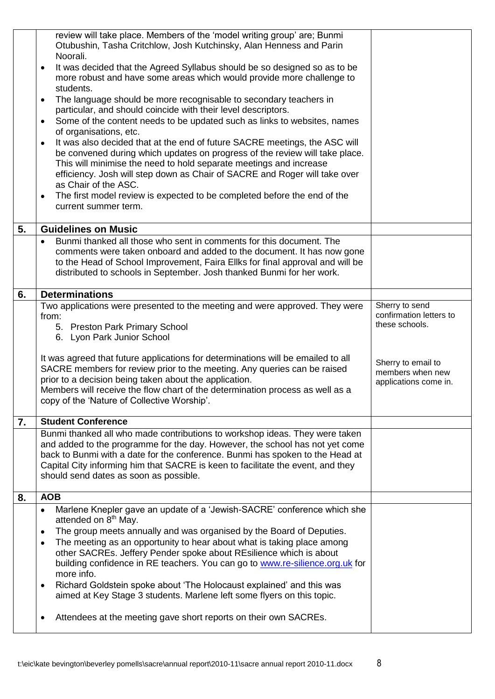|    | review will take place. Members of the 'model writing group' are; Bunmi<br>Otubushin, Tasha Critchlow, Josh Kutchinsky, Alan Henness and Parin                   |                         |
|----|------------------------------------------------------------------------------------------------------------------------------------------------------------------|-------------------------|
|    | Noorali.                                                                                                                                                         |                         |
|    | It was decided that the Agreed Syllabus should be so designed so as to be<br>$\bullet$<br>more robust and have some areas which would provide more challenge to  |                         |
|    | students.<br>The language should be more recognisable to secondary teachers in<br>٠                                                                              |                         |
|    | particular, and should coincide with their level descriptors.<br>Some of the content needs to be updated such as links to websites, names<br>$\bullet$           |                         |
|    | of organisations, etc.                                                                                                                                           |                         |
|    | It was also decided that at the end of future SACRE meetings, the ASC will<br>$\bullet$                                                                          |                         |
|    | be convened during which updates on progress of the review will take place.<br>This will minimise the need to hold separate meetings and increase                |                         |
|    | efficiency. Josh will step down as Chair of SACRE and Roger will take over                                                                                       |                         |
|    | as Chair of the ASC.                                                                                                                                             |                         |
|    | The first model review is expected to be completed before the end of the<br>$\bullet$<br>current summer term.                                                    |                         |
| 5. | <b>Guidelines on Music</b>                                                                                                                                       |                         |
|    | Bunmi thanked all those who sent in comments for this document. The                                                                                              |                         |
|    | comments were taken onboard and added to the document. It has now gone<br>to the Head of School Improvement, Faira Ellks for final approval and will be          |                         |
|    | distributed to schools in September. Josh thanked Bunmi for her work.                                                                                            |                         |
| 6. | <b>Determinations</b>                                                                                                                                            |                         |
|    | Two applications were presented to the meeting and were approved. They were                                                                                      | Sherry to send          |
|    | from:                                                                                                                                                            | confirmation letters to |
|    | 5. Preston Park Primary School<br>6. Lyon Park Junior School                                                                                                     | these schools.          |
|    |                                                                                                                                                                  |                         |
|    |                                                                                                                                                                  |                         |
|    | It was agreed that future applications for determinations will be emailed to all                                                                                 | Sherry to email to      |
|    | SACRE members for review prior to the meeting. Any queries can be raised                                                                                         | members when new        |
|    | prior to a decision being taken about the application.<br>Members will receive the flow chart of the determination process as well as a                          | applications come in.   |
|    | copy of the 'Nature of Collective Worship'.                                                                                                                      |                         |
| 7. | <b>Student Conference</b>                                                                                                                                        |                         |
|    | Bunmi thanked all who made contributions to workshop ideas. They were taken                                                                                      |                         |
|    | and added to the programme for the day. However, the school has not yet come                                                                                     |                         |
|    | back to Bunmi with a date for the conference. Bunmi has spoken to the Head at<br>Capital City informing him that SACRE is keen to facilitate the event, and they |                         |
|    | should send dates as soon as possible.                                                                                                                           |                         |
| 8. | <b>AOB</b>                                                                                                                                                       |                         |
|    | Marlene Knepler gave an update of a 'Jewish-SACRE' conference which she<br>$\bullet$                                                                             |                         |
|    | attended on 8 <sup>th</sup> May.                                                                                                                                 |                         |
|    | The group meets annually and was organised by the Board of Deputies.<br>$\bullet$<br>The meeting as an opportunity to hear about what is taking place among<br>٠ |                         |
|    | other SACREs. Jeffery Pender spoke about REsilience which is about                                                                                               |                         |
|    | building confidence in RE teachers. You can go to www.re-silience.org.uk for                                                                                     |                         |
|    | more info.<br>Richard Goldstein spoke about 'The Holocaust explained' and this was<br>٠                                                                          |                         |
|    | aimed at Key Stage 3 students. Marlene left some flyers on this topic.                                                                                           |                         |
|    | Attendees at the meeting gave short reports on their own SACREs.<br>٠                                                                                            |                         |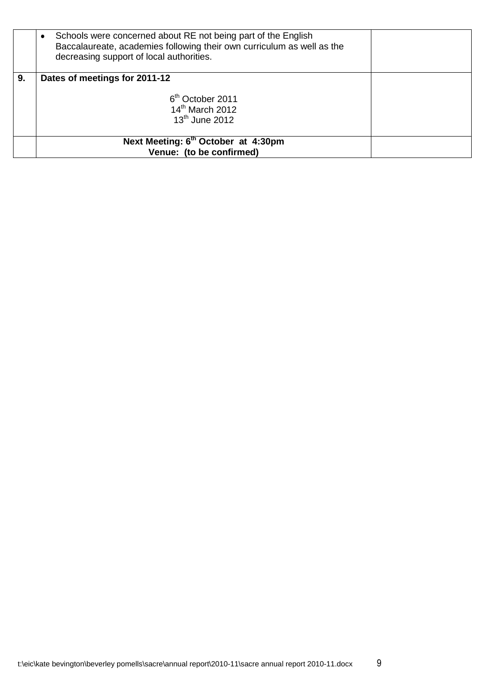|    | Next Meeting: 6 <sup>th</sup> October at 4:30pm<br>Venue: (to be confirmed)                                                                                                         |  |
|----|-------------------------------------------------------------------------------------------------------------------------------------------------------------------------------------|--|
|    | 6 <sup>th</sup> October 2011<br>$14th$ March 2012<br>$13th$ June 2012                                                                                                               |  |
| 9. | Dates of meetings for 2011-12                                                                                                                                                       |  |
|    | Schools were concerned about RE not being part of the English<br>Baccalaureate, academies following their own curriculum as well as the<br>decreasing support of local authorities. |  |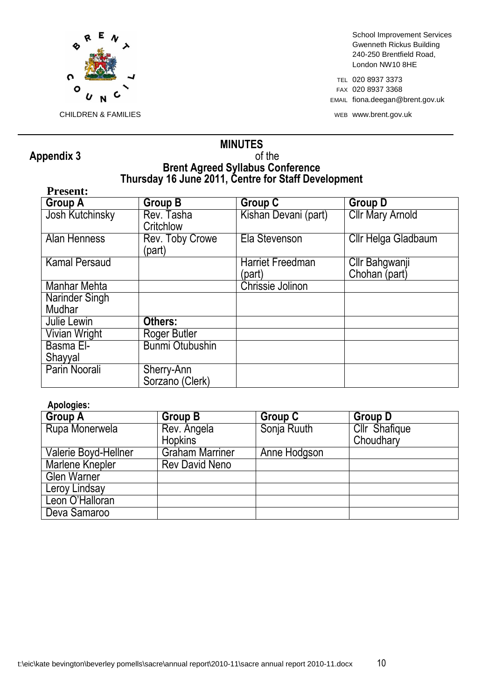

School Improvement Services Gwenneth Rickus Building 240-250 Brentfield Road, London NW10 8HE

TEL 020 8937 3373 FAX 020 8937 3368 EMAIL fiona.deegan@brent.gov.uk

# **Appendix 3**

# **MINUTES Brent Agreed Syllabus Conference Thursday 16 June 2011, Centre for Staff Development**

| <b>Present:</b>        |                               |                                   |                                 |  |
|------------------------|-------------------------------|-----------------------------------|---------------------------------|--|
| <b>Group A</b>         | Group B                       | <b>Group C</b>                    | <b>Group D</b>                  |  |
| <b>Josh Kutchinsky</b> | Rev. Tasha<br>Critchlow       | Kishan Devani (part)              | <b>Cllr Mary Arnold</b>         |  |
| <b>Alan Henness</b>    | Rev. Toby Crowe<br>(part)     | Ela Stevenson                     | Cllr Helga Gladbaum             |  |
| <b>Kamal Persaud</b>   |                               | <b>Harriet Freedman</b><br>(part) | Cllr Bahgwanji<br>Chohan (part) |  |
| Manhar Mehta           |                               | Chrissie Jolinon                  |                                 |  |
| Narinder Singh         |                               |                                   |                                 |  |
| Mudhar                 |                               |                                   |                                 |  |
| Julie Lewin            | Others:                       |                                   |                                 |  |
| Vivian Wright          | Roger Butler                  |                                   |                                 |  |
| Basma El-              | <b>Bunmi Otubushin</b>        |                                   |                                 |  |
| Shayyal                |                               |                                   |                                 |  |
| Parin Noorali          | Sherry-Ann<br>Sorzano (Clerk) |                                   |                                 |  |

### **Apologies:**

| <b>Group A</b>         | <b>Group B</b>         | <b>Group C</b> | <b>Group D</b>       |
|------------------------|------------------------|----------------|----------------------|
| Rupa Monerwela         | Rev. Angela            | Sonja Ruuth    | <b>Cllr</b> Shafique |
|                        | <b>Hopkins</b>         |                | Choudhary            |
| Valerie Boyd-Hellner   | <b>Graham Marriner</b> | Anne Hodgson   |                      |
| <b>Marlene Knepler</b> | <b>Rev David Neno</b>  |                |                      |
| <b>Glen Warner</b>     |                        |                |                      |
| Leroy Lindsay          |                        |                |                      |
| Leon O'Halloran        |                        |                |                      |
| Deva Samaroo           |                        |                |                      |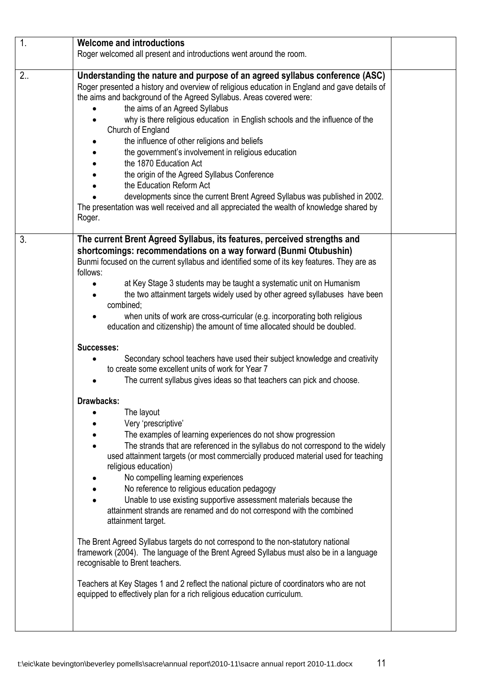| 1.  | <b>Welcome and introductions</b>                                                                                                                                                                                                                                                                                                                                                                                                                                                                                                                                                                                                                                                                                                                                                                                                                                                                                                                                                                                                                                                                                                                                                               |  |
|-----|------------------------------------------------------------------------------------------------------------------------------------------------------------------------------------------------------------------------------------------------------------------------------------------------------------------------------------------------------------------------------------------------------------------------------------------------------------------------------------------------------------------------------------------------------------------------------------------------------------------------------------------------------------------------------------------------------------------------------------------------------------------------------------------------------------------------------------------------------------------------------------------------------------------------------------------------------------------------------------------------------------------------------------------------------------------------------------------------------------------------------------------------------------------------------------------------|--|
|     | Roger welcomed all present and introductions went around the room.                                                                                                                                                                                                                                                                                                                                                                                                                                                                                                                                                                                                                                                                                                                                                                                                                                                                                                                                                                                                                                                                                                                             |  |
| 2.5 | Understanding the nature and purpose of an agreed syllabus conference (ASC)<br>Roger presented a history and overview of religious education in England and gave details of<br>the aims and background of the Agreed Syllabus. Areas covered were:<br>the aims of an Agreed Syllabus<br>why is there religious education in English schools and the influence of the<br>Church of England<br>the influence of other religions and beliefs<br>the government's involvement in religious education<br>the 1870 Education Act<br>the origin of the Agreed Syllabus Conference<br>the Education Reform Act<br>developments since the current Brent Agreed Syllabus was published in 2002.<br>The presentation was well received and all appreciated the wealth of knowledge shared by<br>Roger.                                                                                                                                                                                                                                                                                                                                                                                                    |  |
| 3.  | The current Brent Agreed Syllabus, its features, perceived strengths and<br>shortcomings: recommendations on a way forward (Bunmi Otubushin)<br>Bunmi focused on the current syllabus and identified some of its key features. They are as<br>follows:<br>at Key Stage 3 students may be taught a systematic unit on Humanism<br>the two attainment targets widely used by other agreed syllabuses have been<br>combined;<br>when units of work are cross-curricular (e.g. incorporating both religious<br>education and citizenship) the amount of time allocated should be doubled.                                                                                                                                                                                                                                                                                                                                                                                                                                                                                                                                                                                                          |  |
|     | Successes:<br>Secondary school teachers have used their subject knowledge and creativity<br>to create some excellent units of work for Year 7<br>The current syllabus gives ideas so that teachers can pick and choose.<br>Drawbacks:<br>The layout<br>Very 'prescriptive'<br>The examples of learning experiences do not show progression<br>The strands that are referenced in the syllabus do not correspond to the widely<br>used attainment targets (or most commercially produced material used for teaching<br>religious education)<br>No compelling learning experiences<br>No reference to religious education pedagogy<br>Unable to use existing supportive assessment materials because the<br>attainment strands are renamed and do not correspond with the combined<br>attainment target.<br>The Brent Agreed Syllabus targets do not correspond to the non-statutory national<br>framework (2004). The language of the Brent Agreed Syllabus must also be in a language<br>recognisable to Brent teachers.<br>Teachers at Key Stages 1 and 2 reflect the national picture of coordinators who are not<br>equipped to effectively plan for a rich religious education curriculum. |  |
|     |                                                                                                                                                                                                                                                                                                                                                                                                                                                                                                                                                                                                                                                                                                                                                                                                                                                                                                                                                                                                                                                                                                                                                                                                |  |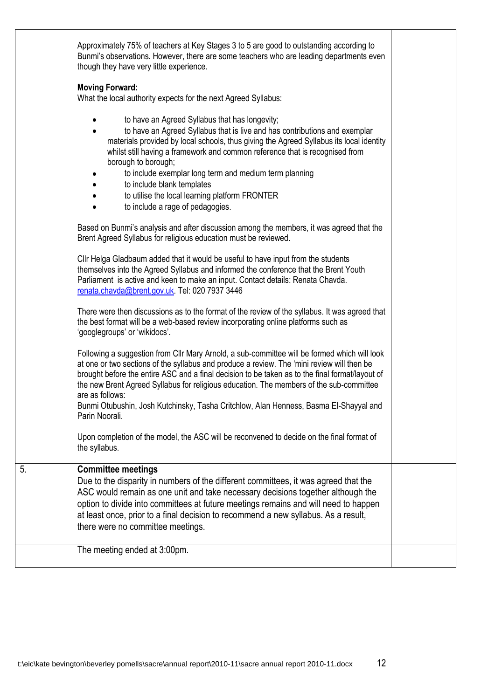|    | Approximately 75% of teachers at Key Stages 3 to 5 are good to outstanding according to<br>Bunmi's observations. However, there are some teachers who are leading departments even<br>though they have very little experience.                                                                                                                                                                                                                                                                                         |  |
|----|------------------------------------------------------------------------------------------------------------------------------------------------------------------------------------------------------------------------------------------------------------------------------------------------------------------------------------------------------------------------------------------------------------------------------------------------------------------------------------------------------------------------|--|
|    | <b>Moving Forward:</b><br>What the local authority expects for the next Agreed Syllabus:                                                                                                                                                                                                                                                                                                                                                                                                                               |  |
|    | to have an Agreed Syllabus that has longevity;<br>to have an Agreed Syllabus that is live and has contributions and exemplar<br>materials provided by local schools, thus giving the Agreed Syllabus its local identity<br>whilst still having a framework and common reference that is recognised from<br>borough to borough;<br>to include exemplar long term and medium term planning<br>to include blank templates<br>to utilise the local learning platform FRONTER<br>to include a rage of pedagogies.           |  |
|    | Based on Bunmi's analysis and after discussion among the members, it was agreed that the<br>Brent Agreed Syllabus for religious education must be reviewed.                                                                                                                                                                                                                                                                                                                                                            |  |
|    | Cllr Helga Gladbaum added that it would be useful to have input from the students<br>themselves into the Agreed Syllabus and informed the conference that the Brent Youth<br>Parliament is active and keen to make an input. Contact details: Renata Chavda.<br>renata.chavda@brent.gov.uk. Tel: 020 7937 3446                                                                                                                                                                                                         |  |
|    | There were then discussions as to the format of the review of the syllabus. It was agreed that<br>the best format will be a web-based review incorporating online platforms such as<br>'googlegroups' or 'wikidocs'.                                                                                                                                                                                                                                                                                                   |  |
|    | Following a suggestion from Cllr Mary Arnold, a sub-committee will be formed which will look<br>at one or two sections of the syllabus and produce a review. The 'mini review will then be<br>brought before the entire ASC and a final decision to be taken as to the final format/layout of<br>the new Brent Agreed Syllabus for religious education. The members of the sub-committee<br>are as follows:<br>Bunmi Otubushin, Josh Kutchinsky, Tasha Critchlow, Alan Henness, Basma El-Shayyal and<br>Parin Noorali. |  |
|    | Upon completion of the model, the ASC will be reconvened to decide on the final format of<br>the syllabus.                                                                                                                                                                                                                                                                                                                                                                                                             |  |
| 5. | <b>Committee meetings</b><br>Due to the disparity in numbers of the different committees, it was agreed that the<br>ASC would remain as one unit and take necessary decisions together although the<br>option to divide into committees at future meetings remains and will need to happen<br>at least once, prior to a final decision to recommend a new syllabus. As a result,<br>there were no committee meetings.                                                                                                  |  |
|    | The meeting ended at 3:00pm.                                                                                                                                                                                                                                                                                                                                                                                                                                                                                           |  |
|    |                                                                                                                                                                                                                                                                                                                                                                                                                                                                                                                        |  |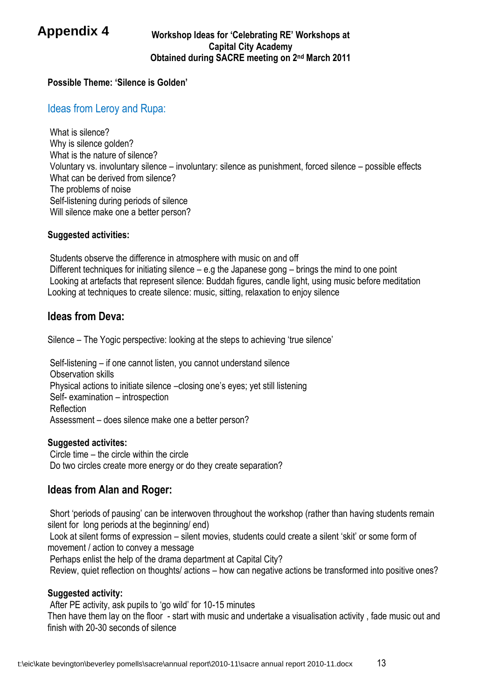# **Appendix 4**

#### **Workshop Ideas for 'Celebrating RE' Workshops at Capital City Academy Obtained during SACRE meeting on 2nd March 2011**

### **Possible Theme: 'Silence is Golden'**

# Ideas from Leroy and Rupa:

What is silence? Why is silence golden? What is the nature of silence? Voluntary vs. involuntary silence – involuntary: silence as punishment, forced silence – possible effects What can be derived from silence? The problems of noise Self-listening during periods of silence Will silence make one a better person?

#### **Suggested activities:**

Students observe the difference in atmosphere with music on and off Different techniques for initiating silence – e.g the Japanese gong – brings the mind to one point Looking at artefacts that represent silence: Buddah figures, candle light, using music before meditation Looking at techniques to create silence: music, sitting, relaxation to enjoy silence

### **Ideas from Deva:**

Silence – The Yogic perspective: looking at the steps to achieving 'true silence'

Self-listening – if one cannot listen, you cannot understand silence Observation skills Physical actions to initiate silence –closing one's eyes; yet still listening Self- examination – introspection Reflection Assessment – does silence make one a better person?

#### **Suggested activites:**

Circle time – the circle within the circle Do two circles create more energy or do they create separation?

# **Ideas from Alan and Roger:**

Short 'periods of pausing' can be interwoven throughout the workshop (rather than having students remain silent for long periods at the beginning/ end)

Look at silent forms of expression – silent movies, students could create a silent 'skit' or some form of movement / action to convey a message

Perhaps enlist the help of the drama department at Capital City?

Review, quiet reflection on thoughts/ actions – how can negative actions be transformed into positive ones?

#### **Suggested activity:**

After PE activity, ask pupils to 'go wild' for 10-15 minutes

Then have them lay on the floor - start with music and undertake a visualisation activity , fade music out and finish with 20-30 seconds of silence